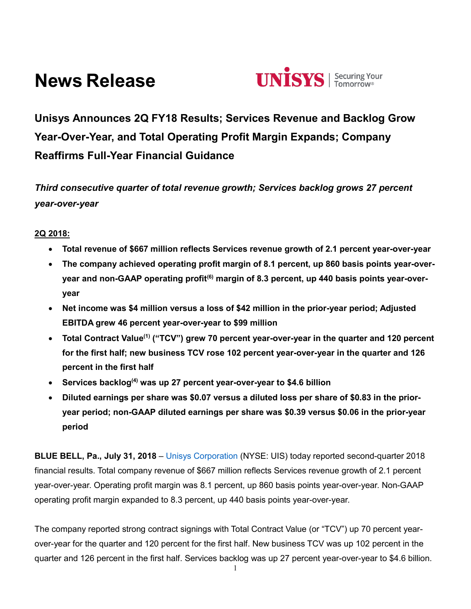# **News Release**



**Unisys Announces 2Q FY18 Results; Services Revenue and Backlog Grow Year-Over-Year, and Total Operating Profit Margin Expands; Company Reaffirms Full-Year Financial Guidance**

*Third consecutive quarter of total revenue growth; Services backlog grows 27 percent year-over-year*

**2Q 2018:**

- **Total revenue of \$667 million reflects Services revenue growth of 2.1 percent year-over-year**
- **The company achieved operating profit margin of 8.1 percent, up 860 basis points year-overyear and non-GAAP operating profit(6) margin of 8.3 percent, up 440 basis points year-overyear**
- **Net income was \$4 million versus a loss of \$42 million in the prior-year period; Adjusted EBITDA grew 46 percent year-over-year to \$99 million**
- **Total Contract Value(1) ("TCV") grew 70 percent year-over-year in the quarter and 120 percent for the first half; new business TCV rose 102 percent year-over-year in the quarter and 126 percent in the first half**
- **Services backlog(4) was up 27 percent year-over-year to \$4.6 billion**
- **Diluted earnings per share was \$0.07 versus a diluted loss per share of \$0.83 in the prioryear period; non-GAAP diluted earnings per share was \$0.39 versus \$0.06 in the prior-year period**

**BLUE BELL, Pa., July 31, 2018** – [Unisys Corporation](http://www.unisys.com/) (NYSE: UIS) today reported second-quarter 2018 financial results. Total company revenue of \$667 million reflects Services revenue growth of 2.1 percent year-over-year. Operating profit margin was 8.1 percent, up 860 basis points year-over-year. Non-GAAP operating profit margin expanded to 8.3 percent, up 440 basis points year-over-year.

The company reported strong contract signings with Total Contract Value (or "TCV") up 70 percent yearover-year for the quarter and 120 percent for the first half. New business TCV was up 102 percent in the quarter and 126 percent in the first half. Services backlog was up 27 percent year-over-year to \$4.6 billion.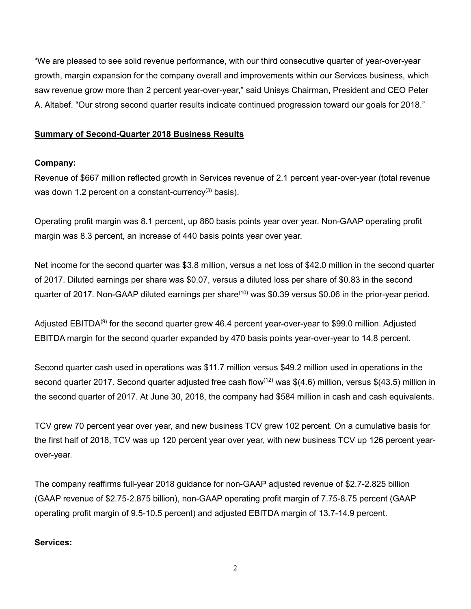"We are pleased to see solid revenue performance, with our third consecutive quarter of year-over-year growth, margin expansion for the company overall and improvements within our Services business, which saw revenue grow more than 2 percent year-over-year," said Unisys Chairman, President and CEO Peter A. Altabef. "Our strong second quarter results indicate continued progression toward our goals for 2018."

## **Summary of Second-Quarter 2018 Business Results**

## **Company:**

Revenue of \$667 million reflected growth in Services revenue of 2.1 percent year-over-year (total revenue was down 1.2 percent on a constant-currency<sup>(3)</sup> basis).

Operating profit margin was 8.1 percent, up 860 basis points year over year. Non-GAAP operating profit margin was 8.3 percent, an increase of 440 basis points year over year.

Net income for the second quarter was \$3.8 million, versus a net loss of \$42.0 million in the second quarter of 2017. Diluted earnings per share was \$0.07, versus a diluted loss per share of \$0.83 in the second quarter of 2017. Non-GAAP diluted earnings per share<sup>(10)</sup> was \$0.39 versus \$0.06 in the prior-year period.

Adjusted EBITDA<sup>(9)</sup> for the second quarter grew 46.4 percent year-over-year to \$99.0 million. Adjusted EBITDA margin for the second quarter expanded by 470 basis points year-over-year to 14.8 percent.

Second quarter cash used in operations was \$11.7 million versus \$49.2 million used in operations in the second quarter 2017. Second quarter adjusted free cash flow<sup>(12)</sup> was \$(4.6) million, versus \$(43.5) million in the second quarter of 2017. At June 30, 2018, the company had \$584 million in cash and cash equivalents.

TCV grew 70 percent year over year, and new business TCV grew 102 percent. On a cumulative basis for the first half of 2018, TCV was up 120 percent year over year, with new business TCV up 126 percent yearover-year.

The company reaffirms full-year 2018 guidance for non-GAAP adjusted revenue of \$2.7-2.825 billion (GAAP revenue of \$2.75-2.875 billion), non-GAAP operating profit margin of 7.75-8.75 percent (GAAP operating profit margin of 9.5-10.5 percent) and adjusted EBITDA margin of 13.7-14.9 percent.

### **Services:**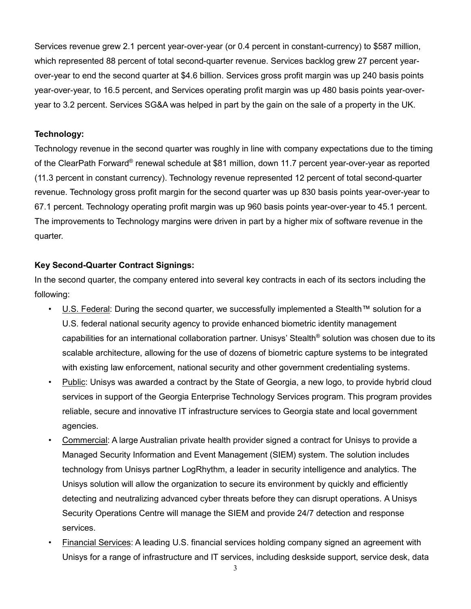Services revenue grew 2.1 percent year-over-year (or 0.4 percent in constant-currency) to \$587 million, which represented 88 percent of total second-quarter revenue. Services backlog grew 27 percent yearover-year to end the second quarter at \$4.6 billion. Services gross profit margin was up 240 basis points year-over-year, to 16.5 percent, and Services operating profit margin was up 480 basis points year-overyear to 3.2 percent. Services SG&A was helped in part by the gain on the sale of a property in the UK.

#### **Technology:**

Technology revenue in the second quarter was roughly in line with company expectations due to the timing of the ClearPath Forward® renewal schedule at \$81 million, down 11.7 percent year-over-year as reported (11.3 percent in constant currency). Technology revenue represented 12 percent of total second-quarter revenue. Technology gross profit margin for the second quarter was up 830 basis points year-over-year to 67.1 percent. Technology operating profit margin was up 960 basis points year-over-year to 45.1 percent. The improvements to Technology margins were driven in part by a higher mix of software revenue in the quarter.

#### **Key Second-Quarter Contract Signings:**

In the second quarter, the company entered into several key contracts in each of its sectors including the following:

- U.S. Federal: During the second quarter, we successfully implemented a Stealth™ solution for a U.S. federal national security agency to provide enhanced biometric identity management capabilities for an international collaboration partner. Unisys' Stealth® solution was chosen due to its scalable architecture, allowing for the use of dozens of biometric capture systems to be integrated with existing law enforcement, national security and other government credentialing systems.
- Public: Unisys was awarded a contract by the State of Georgia, a new logo, to provide hybrid cloud services in support of the Georgia Enterprise Technology Services program. This program provides reliable, secure and innovative IT infrastructure services to Georgia state and local government agencies.
- Commercial: A large Australian private health provider signed a contract for Unisys to provide a Managed Security Information and Event Management (SIEM) system. The solution includes technology from Unisys partner LogRhythm, a leader in security intelligence and analytics. The Unisys solution will allow the organization to secure its environment by quickly and efficiently detecting and neutralizing advanced cyber threats before they can disrupt operations. A Unisys Security Operations Centre will manage the SIEM and provide 24/7 detection and response services.
- Financial Services: A leading U.S. financial services holding company signed an agreement with Unisys for a range of infrastructure and IT services, including deskside support, service desk, data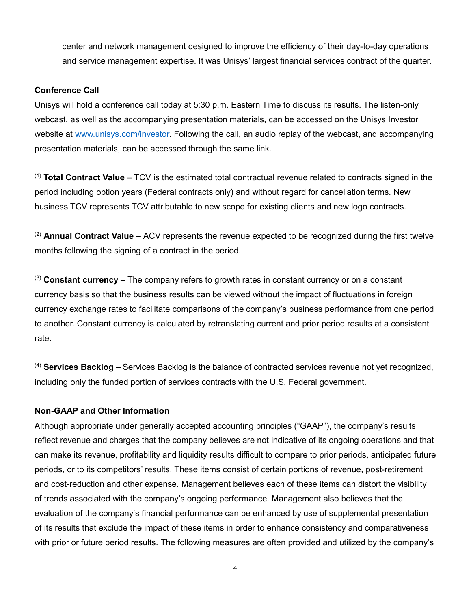center and network management designed to improve the efficiency of their day-to-day operations and service management expertise. It was Unisys' largest financial services contract of the quarter.

#### **Conference Call**

Unisys will hold a conference call today at 5:30 p.m. Eastern Time to discuss its results. The listen-only webcast, as well as the accompanying presentation materials, can be accessed on the Unisys Investor website at [www.unisys.com/investor.](http://www.unisys.com/investor) Following the call, an audio replay of the webcast, and accompanying presentation materials, can be accessed through the same link.

(1) **Total Contract Value** – TCV is the estimated total contractual revenue related to contracts signed in the period including option years (Federal contracts only) and without regard for cancellation terms. New business TCV represents TCV attributable to new scope for existing clients and new logo contracts.

(2) **Annual Contract Value** – ACV represents the revenue expected to be recognized during the first twelve months following the signing of a contract in the period.

(3) **Constant currency** – The company refers to growth rates in constant currency or on a constant currency basis so that the business results can be viewed without the impact of fluctuations in foreign currency exchange rates to facilitate comparisons of the company's business performance from one period to another. Constant currency is calculated by retranslating current and prior period results at a consistent rate.

(4) **Services Backlog** – Services Backlog is the balance of contracted services revenue not yet recognized, including only the funded portion of services contracts with the U.S. Federal government.

## **Non-GAAP and Other Information**

Although appropriate under generally accepted accounting principles ("GAAP"), the company's results reflect revenue and charges that the company believes are not indicative of its ongoing operations and that can make its revenue, profitability and liquidity results difficult to compare to prior periods, anticipated future periods, or to its competitors' results. These items consist of certain portions of revenue, post-retirement and cost-reduction and other expense. Management believes each of these items can distort the visibility of trends associated with the company's ongoing performance. Management also believes that the evaluation of the company's financial performance can be enhanced by use of supplemental presentation of its results that exclude the impact of these items in order to enhance consistency and comparativeness with prior or future period results. The following measures are often provided and utilized by the company's

4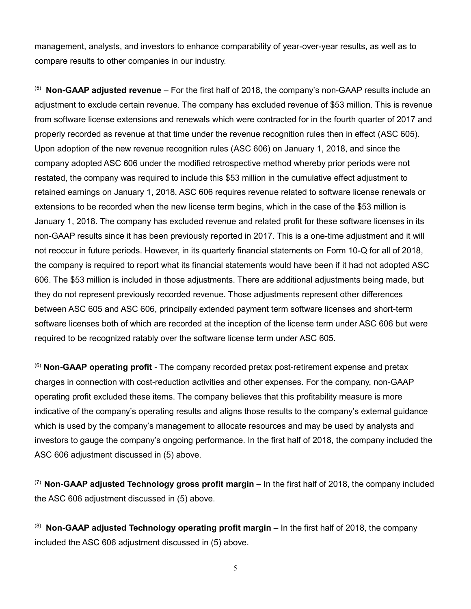management, analysts, and investors to enhance comparability of year-over-year results, as well as to compare results to other companies in our industry.

(5) **Non-GAAP adjusted revenue** – For the first half of 2018, the company's non-GAAP results include an adjustment to exclude certain revenue. The company has excluded revenue of \$53 million. This is revenue from software license extensions and renewals which were contracted for in the fourth quarter of 2017 and properly recorded as revenue at that time under the revenue recognition rules then in effect (ASC 605). Upon adoption of the new revenue recognition rules (ASC 606) on January 1, 2018, and since the company adopted ASC 606 under the modified retrospective method whereby prior periods were not restated, the company was required to include this \$53 million in the cumulative effect adjustment to retained earnings on January 1, 2018. ASC 606 requires revenue related to software license renewals or extensions to be recorded when the new license term begins, which in the case of the \$53 million is January 1, 2018. The company has excluded revenue and related profit for these software licenses in its non-GAAP results since it has been previously reported in 2017. This is a one-time adjustment and it will not reoccur in future periods. However, in its quarterly financial statements on Form 10-Q for all of 2018, the company is required to report what its financial statements would have been if it had not adopted ASC 606. The \$53 million is included in those adjustments. There are additional adjustments being made, but they do not represent previously recorded revenue. Those adjustments represent other differences between ASC 605 and ASC 606, principally extended payment term software licenses and short-term software licenses both of which are recorded at the inception of the license term under ASC 606 but were required to be recognized ratably over the software license term under ASC 605.

(6) **Non-GAAP operating profit** - The company recorded pretax post-retirement expense and pretax charges in connection with cost-reduction activities and other expenses. For the company, non-GAAP operating profit excluded these items. The company believes that this profitability measure is more indicative of the company's operating results and aligns those results to the company's external guidance which is used by the company's management to allocate resources and may be used by analysts and investors to gauge the company's ongoing performance. In the first half of 2018, the company included the ASC 606 adjustment discussed in (5) above.

(7) **Non-GAAP adjusted Technology gross profit margin** – In the first half of 2018, the company included the ASC 606 adjustment discussed in (5) above.

<sup>(8)</sup> Non-GAAP adjusted Technology operating profit margin – In the first half of 2018, the company included the ASC 606 adjustment discussed in (5) above.

5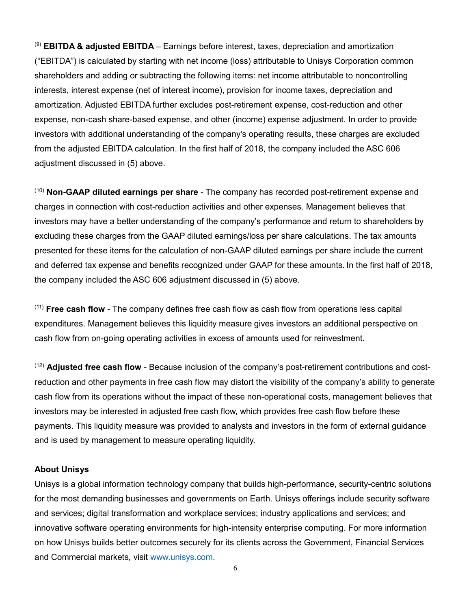(9) **EBITDA & adjusted EBITDA** – Earnings before interest, taxes, depreciation and amortization ("EBITDA") is calculated by starting with net income (loss) attributable to Unisys Corporation common shareholders and adding or subtracting the following items: net income attributable to noncontrolling interests, interest expense (net of interest income), provision for income taxes, depreciation and amortization. Adjusted EBITDA further excludes post-retirement expense, cost-reduction and other expense, non-cash share-based expense, and other (income) expense adjustment. In order to provide investors with additional understanding of the company's operating results, these charges are excluded from the adjusted EBITDA calculation. In the first half of 2018, the company included the ASC 606 adjustment discussed in (5) above.

(10) **Non-GAAP diluted earnings per share** - The company has recorded post-retirement expense and charges in connection with cost-reduction activities and other expenses. Management believes that investors may have a better understanding of the company's performance and return to shareholders by excluding these charges from the GAAP diluted earnings/loss per share calculations. The tax amounts presented for these items for the calculation of non-GAAP diluted earnings per share include the current and deferred tax expense and benefits recognized under GAAP for these amounts. In the first half of 2018, the company included the ASC 606 adjustment discussed in (5) above.

(11) **Free cash flow** - The company defines free cash flow as cash flow from operations less capital expenditures. Management believes this liquidity measure gives investors an additional perspective on cash flow from on-going operating activities in excess of amounts used for reinvestment.

(12) **Adjusted free cash flow** - Because inclusion of the company's post-retirement contributions and costreduction and other payments in free cash flow may distort the visibility of the company's ability to generate cash flow from its operations without the impact of these non-operational costs, management believes that investors may be interested in adjusted free cash flow, which provides free cash flow before these payments. This liquidity measure was provided to analysts and investors in the form of external guidance and is used by management to measure operating liquidity.

#### **About Unisys**

Unisys is a global information technology company that builds high-performance, security-centric solutions for the most demanding businesses and governments on Earth. Unisys offerings include security software and services; digital transformation and workplace services; industry applications and services; and innovative software operating environments for high-intensity enterprise computing. For more information on how Unisys builds better outcomes securely for its clients across the Government, Financial Services and Commercial markets, visit [www.unisys.com.](http://www.unisys.com/)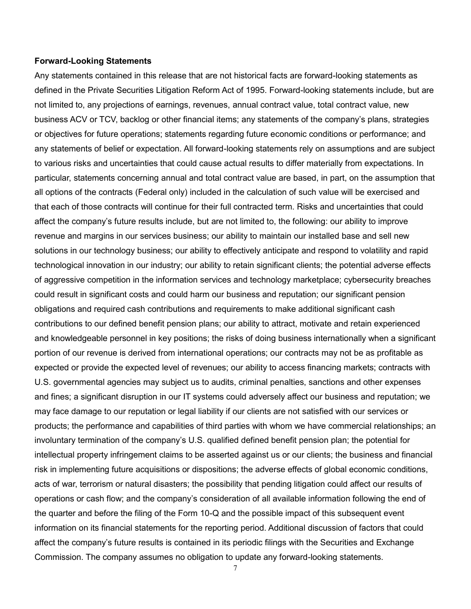#### **Forward-Looking Statements**

Any statements contained in this release that are not historical facts are forward-looking statements as defined in the Private Securities Litigation Reform Act of 1995. Forward-looking statements include, but are not limited to, any projections of earnings, revenues, annual contract value, total contract value, new business ACV or TCV, backlog or other financial items; any statements of the company's plans, strategies or objectives for future operations; statements regarding future economic conditions or performance; and any statements of belief or expectation. All forward-looking statements rely on assumptions and are subject to various risks and uncertainties that could cause actual results to differ materially from expectations. In particular, statements concerning annual and total contract value are based, in part, on the assumption that all options of the contracts (Federal only) included in the calculation of such value will be exercised and that each of those contracts will continue for their full contracted term. Risks and uncertainties that could affect the company's future results include, but are not limited to, the following: our ability to improve revenue and margins in our services business; our ability to maintain our installed base and sell new solutions in our technology business; our ability to effectively anticipate and respond to volatility and rapid technological innovation in our industry; our ability to retain significant clients; the potential adverse effects of aggressive competition in the information services and technology marketplace; cybersecurity breaches could result in significant costs and could harm our business and reputation; our significant pension obligations and required cash contributions and requirements to make additional significant cash contributions to our defined benefit pension plans; our ability to attract, motivate and retain experienced and knowledgeable personnel in key positions; the risks of doing business internationally when a significant portion of our revenue is derived from international operations; our contracts may not be as profitable as expected or provide the expected level of revenues; our ability to access financing markets; contracts with U.S. governmental agencies may subject us to audits, criminal penalties, sanctions and other expenses and fines; a significant disruption in our IT systems could adversely affect our business and reputation; we may face damage to our reputation or legal liability if our clients are not satisfied with our services or products; the performance and capabilities of third parties with whom we have commercial relationships; an involuntary termination of the company's U.S. qualified defined benefit pension plan; the potential for intellectual property infringement claims to be asserted against us or our clients; the business and financial risk in implementing future acquisitions or dispositions; the adverse effects of global economic conditions, acts of war, terrorism or natural disasters; the possibility that pending litigation could affect our results of operations or cash flow; and the company's consideration of all available information following the end of the quarter and before the filing of the Form 10-Q and the possible impact of this subsequent event information on its financial statements for the reporting period. Additional discussion of factors that could affect the company's future results is contained in its periodic filings with the Securities and Exchange Commission. The company assumes no obligation to update any forward-looking statements.

7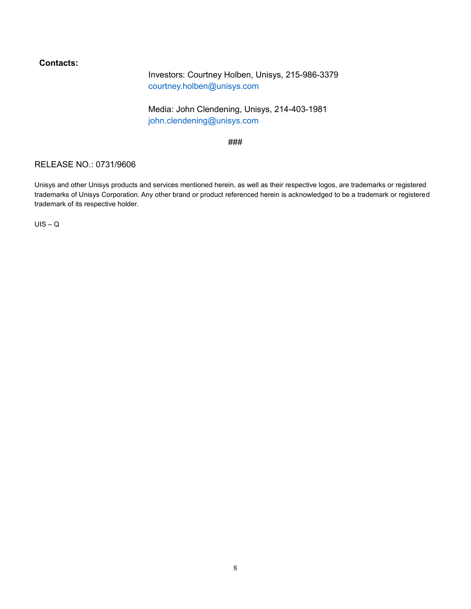## **Contacts:**

Investors: Courtney Holben, Unisys, 215-986-3379 [courtney.holben@unisys.com](mailto:courtney.holben@unisys.com)

Media: John Clendening, Unisys, 214-403-1981 [john.clendening@unisys.com](mailto:john.clendening@unisys.com)

###

### RELEASE NO.: 0731/9606

Unisys and other Unisys products and services mentioned herein, as well as their respective logos, are trademarks or registered trademarks of Unisys Corporation. Any other brand or product referenced herein is acknowledged to be a trademark or registered trademark of its respective holder.

 $UIS - Q$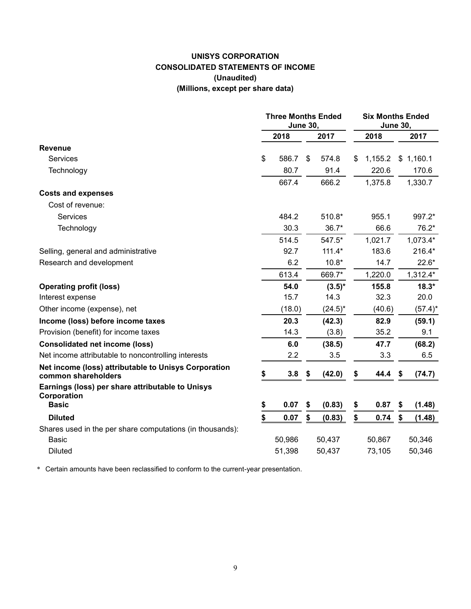# **UNISYS CORPORATION CONSOLIDATED STATEMENTS OF INCOME (Unaudited) (Millions, except per share data)**

|                                                                             | <b>Three Months Ended</b><br><b>June 30,</b> |        |    |            | <b>Six Months Ended</b><br><b>June 30,</b> |         |    |            |  |
|-----------------------------------------------------------------------------|----------------------------------------------|--------|----|------------|--------------------------------------------|---------|----|------------|--|
|                                                                             |                                              | 2018   |    | 2017       |                                            | 2018    |    | 2017       |  |
| <b>Revenue</b>                                                              |                                              |        |    |            |                                            |         |    |            |  |
| <b>Services</b>                                                             | \$                                           | 586.7  | \$ | 574.8      | \$                                         | 1,155.2 | \$ | 1,160.1    |  |
| Technology                                                                  |                                              | 80.7   |    | 91.4       |                                            | 220.6   |    | 170.6      |  |
|                                                                             |                                              | 667.4  |    | 666.2      |                                            | 1,375.8 |    | 1,330.7    |  |
| <b>Costs and expenses</b>                                                   |                                              |        |    |            |                                            |         |    |            |  |
| Cost of revenue:                                                            |                                              |        |    |            |                                            |         |    |            |  |
| Services                                                                    |                                              | 484.2  |    | 510.8*     |                                            | 955.1   |    | 997.2*     |  |
| Technology                                                                  |                                              | 30.3   |    | $36.7*$    |                                            | 66.6    |    | 76.2*      |  |
|                                                                             |                                              | 514.5  |    | 547.5*     |                                            | 1,021.7 |    | $1,073.4*$ |  |
| Selling, general and administrative                                         |                                              | 92.7   |    | $111.4*$   |                                            | 183.6   |    | 216.4*     |  |
| Research and development                                                    |                                              | 6.2    |    | $10.8*$    |                                            | 14.7    |    | $22.6*$    |  |
|                                                                             |                                              | 613.4  |    | 669.7*     |                                            | 1,220.0 |    | 1,312.4*   |  |
| <b>Operating profit (loss)</b>                                              |                                              | 54.0   |    | $(3.5)^*$  |                                            | 155.8   |    | $18.3*$    |  |
| Interest expense                                                            |                                              | 15.7   |    | 14.3       |                                            | 32.3    |    | 20.0       |  |
| Other income (expense), net                                                 |                                              | (18.0) |    | $(24.5)^*$ |                                            | (40.6)  |    | $(57.4)^*$ |  |
| Income (loss) before income taxes                                           |                                              | 20.3   |    | (42.3)     |                                            | 82.9    |    | (59.1)     |  |
| Provision (benefit) for income taxes                                        |                                              | 14.3   |    | (3.8)      |                                            | 35.2    |    | 9.1        |  |
| <b>Consolidated net income (loss)</b>                                       |                                              | 6.0    |    | (38.5)     |                                            | 47.7    |    | (68.2)     |  |
| Net income attributable to noncontrolling interests                         |                                              | 2.2    |    | 3.5        |                                            | 3.3     |    | 6.5        |  |
| Net income (loss) attributable to Unisys Corporation<br>common shareholders | \$                                           | 3.8    | \$ | (42.0)     | \$                                         | 44.4    | S  | (74.7)     |  |
| Earnings (loss) per share attributable to Unisys<br>Corporation             |                                              |        |    |            |                                            |         |    |            |  |
| <b>Basic</b>                                                                | \$                                           | 0.07   | \$ | (0.83)     | \$                                         | 0.87    | \$ | (1.48)     |  |
| <b>Diluted</b>                                                              | \$                                           | 0.07   | \$ | (0.83)     | \$                                         | 0.74    | \$ | (1.48)     |  |
| Shares used in the per share computations (in thousands):                   |                                              |        |    |            |                                            |         |    |            |  |
| <b>Basic</b>                                                                |                                              | 50,986 |    | 50,437     |                                            | 50,867  |    | 50,346     |  |
| <b>Diluted</b>                                                              |                                              | 51,398 |    | 50,437     |                                            | 73,105  |    | 50,346     |  |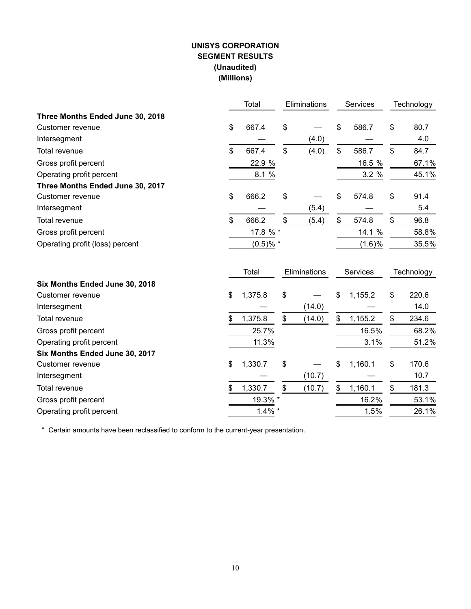# **UNISYS CORPORATION SEGMENT RESULTS (Unaudited) (Millions)**

|                                  | Total            | Eliminations |              | Services      |    | Technology |
|----------------------------------|------------------|--------------|--------------|---------------|----|------------|
| Three Months Ended June 30, 2018 |                  |              |              |               |    |            |
| Customer revenue                 | \$<br>667.4      | \$           |              | \$<br>586.7   | \$ | 80.7       |
| Intersegment                     |                  |              | (4.0)        |               |    | 4.0        |
| Total revenue                    | \$<br>667.4      | \$           | (4.0)        | \$<br>586.7   | \$ | 84.7       |
| Gross profit percent             | 22.9 %           |              |              | 16.5 %        |    | 67.1%      |
| Operating profit percent         | $8.1\frac{9}{6}$ |              |              | 3.2 %         |    | 45.1%      |
| Three Months Ended June 30, 2017 |                  |              |              |               |    |            |
| Customer revenue                 | \$<br>666.2      | \$           |              | \$<br>574.8   | \$ | 91.4       |
| Intersegment                     |                  |              | (5.4)        |               |    | 5.4        |
| Total revenue                    | \$<br>666.2      | \$           | (5.4)        | \$<br>574.8   | \$ | 96.8       |
| Gross profit percent             | 17.8 %           |              |              | 14.1 %        |    | 58.8%      |
| Operating profit (loss) percent  | $(0.5)$ % *      |              |              | (1.6)%        |    | 35.5%      |
|                                  | Total            |              | Eliminations | Services      |    | Technology |
| Six Months Ended June 30, 2018   |                  |              |              |               |    |            |
| Customer revenue                 | \$<br>1,375.8    | \$           |              | \$<br>1,155.2 | \$ | 220.6      |
| Intersegment                     |                  |              | (14.0)       |               |    | 14.0       |
| Total revenue                    | \$<br>1,375.8    | \$           | (14.0)       | \$<br>1,155.2 | \$ | 234.6      |
| Gross profit percent             | 25.7%            |              |              | 16.5%         |    | 68.2%      |
| Operating profit percent         | 11.3%            |              |              | 3.1%          |    | 51.2%      |
| Six Months Ended June 30, 2017   |                  |              |              |               |    |            |
| Customer revenue                 | \$<br>1,330.7    | \$           |              | \$<br>1,160.1 | \$ | 170.6      |
| Intersegment                     |                  |              | (10.7)       |               |    | 10.7       |
| Total revenue                    | \$<br>1,330.7    | \$           | (10.7)       | \$<br>1,160.1 | \$ | 181.3      |
| Gross profit percent             | 19.3% *          |              |              | 16.2%         |    | 53.1%      |
| Operating profit percent         | $1.4\%$ *        |              |              | 1.5%          |    | 26.1%      |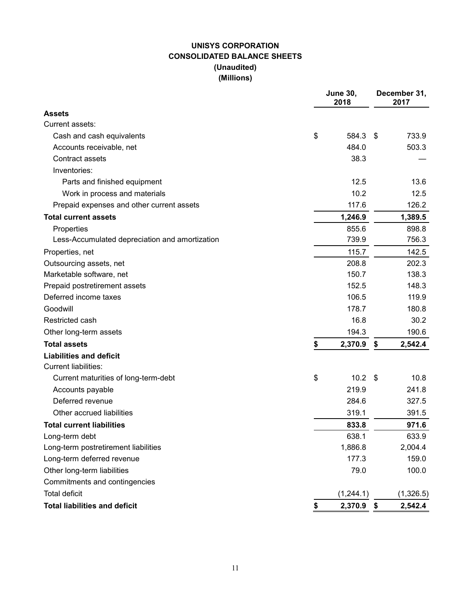# **UNISYS CORPORATION CONSOLIDATED BALANCE SHEETS (Unaudited) (Millions)**

|                                                | <b>June 30,</b><br>2018 | December 31,<br>2017 |           |  |  |
|------------------------------------------------|-------------------------|----------------------|-----------|--|--|
| <b>Assets</b>                                  |                         |                      |           |  |  |
| Current assets:                                |                         |                      |           |  |  |
| Cash and cash equivalents                      | \$<br>584.3             | - \$                 | 733.9     |  |  |
| Accounts receivable, net                       | 484.0                   |                      | 503.3     |  |  |
| Contract assets                                | 38.3                    |                      |           |  |  |
| Inventories:                                   |                         |                      |           |  |  |
| Parts and finished equipment                   | 12.5                    |                      | 13.6      |  |  |
| Work in process and materials                  | 10.2                    |                      | 12.5      |  |  |
| Prepaid expenses and other current assets      | 117.6                   |                      | 126.2     |  |  |
| <b>Total current assets</b>                    | 1,246.9                 |                      | 1,389.5   |  |  |
| Properties                                     | 855.6                   |                      | 898.8     |  |  |
| Less-Accumulated depreciation and amortization | 739.9                   |                      | 756.3     |  |  |
| Properties, net                                | 115.7                   |                      | 142.5     |  |  |
| Outsourcing assets, net                        | 208.8                   |                      | 202.3     |  |  |
| Marketable software, net                       | 150.7                   |                      | 138.3     |  |  |
| Prepaid postretirement assets                  | 152.5                   |                      | 148.3     |  |  |
| Deferred income taxes                          | 106.5                   |                      | 119.9     |  |  |
| Goodwill                                       | 178.7                   |                      | 180.8     |  |  |
| Restricted cash                                | 16.8                    |                      | 30.2      |  |  |
| Other long-term assets                         | 194.3                   |                      | 190.6     |  |  |
| <b>Total assets</b>                            | \$<br>2,370.9           | \$                   | 2,542.4   |  |  |
| <b>Liabilities and deficit</b>                 |                         |                      |           |  |  |
| <b>Current liabilities:</b>                    |                         |                      |           |  |  |
| Current maturities of long-term-debt           | \$<br>10.2              | -S                   | 10.8      |  |  |
| Accounts payable                               | 219.9                   |                      | 241.8     |  |  |
| Deferred revenue                               | 284.6                   |                      | 327.5     |  |  |
| Other accrued liabilities                      | 319.1                   |                      | 391.5     |  |  |
| <b>Total current liabilities</b>               | 833.8                   |                      | 971.6     |  |  |
| Long-term debt                                 | 638.1                   |                      | 633.9     |  |  |
| Long-term postretirement liabilities           | 1,886.8                 |                      | 2,004.4   |  |  |
| Long-term deferred revenue                     | 177.3                   |                      | 159.0     |  |  |
| Other long-term liabilities                    | 79.0                    |                      | 100.0     |  |  |
| Commitments and contingencies                  |                         |                      |           |  |  |
| <b>Total deficit</b>                           | (1, 244.1)              |                      | (1,326.5) |  |  |
| <b>Total liabilities and deficit</b>           | \$<br>2,370.9           | \$                   | 2,542.4   |  |  |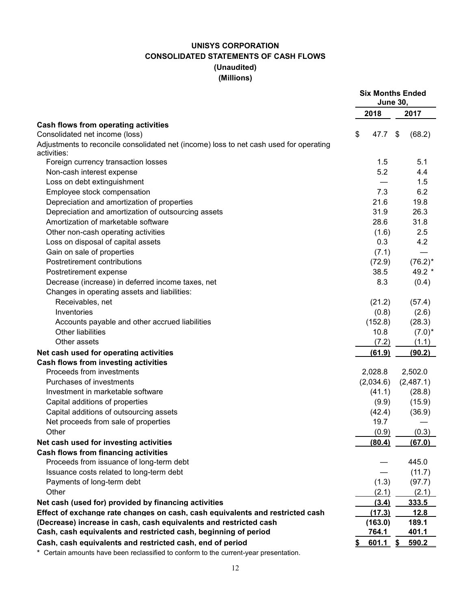# **UNISYS CORPORATION CONSOLIDATED STATEMENTS OF CASH FLOWS (Unaudited) (Millions)**

|                                                                                        | <b>Six Months Ended</b><br><b>June 30,</b> |           |    |            |  |
|----------------------------------------------------------------------------------------|--------------------------------------------|-----------|----|------------|--|
|                                                                                        | 2018                                       |           |    | 2017       |  |
| Cash flows from operating activities                                                   |                                            |           |    |            |  |
| Consolidated net income (loss)                                                         | \$                                         | 47.7      | \$ | (68.2)     |  |
| Adjustments to reconcile consolidated net (income) loss to net cash used for operating |                                            |           |    |            |  |
| activities:                                                                            |                                            |           |    |            |  |
| Foreign currency transaction losses                                                    |                                            | 1.5       |    | 5.1        |  |
| Non-cash interest expense                                                              |                                            | 5.2       |    | 4.4        |  |
| Loss on debt extinguishment                                                            |                                            |           |    | 1.5        |  |
| Employee stock compensation                                                            |                                            | 7.3       |    | 6.2        |  |
| Depreciation and amortization of properties                                            |                                            | 21.6      |    | 19.8       |  |
| Depreciation and amortization of outsourcing assets                                    |                                            | 31.9      |    | 26.3       |  |
| Amortization of marketable software                                                    |                                            | 28.6      |    | 31.8       |  |
| Other non-cash operating activities                                                    |                                            | (1.6)     |    | 2.5        |  |
| Loss on disposal of capital assets                                                     |                                            | 0.3       |    | 4.2        |  |
| Gain on sale of properties                                                             |                                            | (7.1)     |    |            |  |
| Postretirement contributions                                                           |                                            | (72.9)    |    | $(76.2)^*$ |  |
| Postretirement expense                                                                 |                                            | 38.5      |    | 49.2 *     |  |
| Decrease (increase) in deferred income taxes, net                                      |                                            | 8.3       |    | (0.4)      |  |
| Changes in operating assets and liabilities:                                           |                                            |           |    |            |  |
| Receivables, net                                                                       |                                            | (21.2)    |    | (57.4)     |  |
| Inventories                                                                            |                                            | (0.8)     |    | (2.6)      |  |
| Accounts payable and other accrued liabilities                                         |                                            | (152.8)   |    | (28.3)     |  |
| <b>Other liabilities</b>                                                               |                                            | 10.8      |    | $(7.0)^*$  |  |
| Other assets                                                                           |                                            | (7.2)     |    | (1.1)      |  |
| Net cash used for operating activities                                                 |                                            | (61.9)    |    | (90.2)     |  |
| <b>Cash flows from investing activities</b>                                            |                                            |           |    |            |  |
| Proceeds from investments                                                              |                                            | 2,028.8   |    | 2,502.0    |  |
| Purchases of investments                                                               |                                            | (2,034.6) |    | (2,487.1)  |  |
| Investment in marketable software                                                      |                                            | (41.1)    |    | (28.8)     |  |
| Capital additions of properties                                                        |                                            | (9.9)     |    | (15.9)     |  |
| Capital additions of outsourcing assets                                                |                                            | (42.4)    |    | (36.9)     |  |
| Net proceeds from sale of properties                                                   |                                            | 19.7      |    |            |  |
| Other                                                                                  |                                            | (0.9)     |    | (0.3)      |  |
| Net cash used for investing activities                                                 |                                            | (80.4)    |    | (67.0)     |  |
| <b>Cash flows from financing activities</b>                                            |                                            |           |    |            |  |
| Proceeds from issuance of long-term debt                                               |                                            |           |    | 445.0      |  |
| Issuance costs related to long-term debt                                               |                                            |           |    | (11.7)     |  |
| Payments of long-term debt                                                             |                                            | (1.3)     |    | (97.7)     |  |
| Other                                                                                  |                                            | (2.1)     |    | (2.1)      |  |
| Net cash (used for) provided by financing activities                                   |                                            | (3.4)     |    | 333.5      |  |
| Effect of exchange rate changes on cash, cash equivalents and restricted cash          |                                            | (17.3)    |    | 12.8       |  |
| (Decrease) increase in cash, cash equivalents and restricted cash                      |                                            | (163.0)   |    | 189.1      |  |
| Cash, cash equivalents and restricted cash, beginning of period                        |                                            | 764.1     |    | 401.1      |  |
| Cash, cash equivalents and restricted cash, end of period                              |                                            | 601.1     | \$ | 590.2      |  |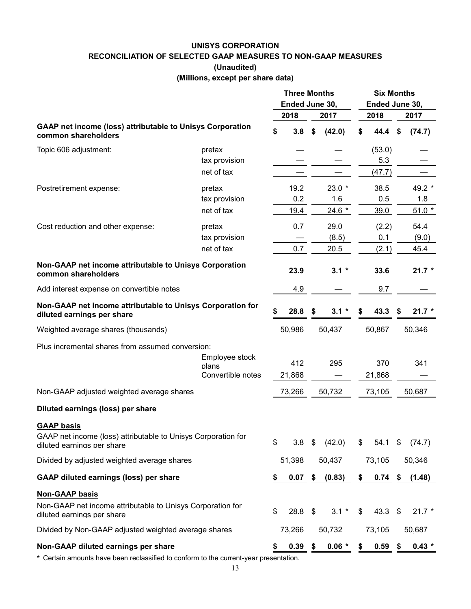#### **UNISYS CORPORATION**

**RECONCILIATION OF SELECTED GAAP MEASURES TO NON-GAAP MEASURES**

**(Unaudited)**

**(Millions, except per share data)**

|                                                                                                                  |                            | <b>Three Months</b><br>Ended June 30, |        |    | <b>Six Months</b><br>Ended June 30, |                 |    |          |
|------------------------------------------------------------------------------------------------------------------|----------------------------|---------------------------------------|--------|----|-------------------------------------|-----------------|----|----------|
|                                                                                                                  |                            |                                       | 2018   |    | 2017                                | 2018            |    | 2017     |
| <b>GAAP net income (loss) attributable to Unisys Corporation</b><br>common shareholders                          |                            | \$                                    | 3.8    | \$ | (42.0)                              | \$<br>44.4      | \$ | (74.7)   |
| Topic 606 adjustment:                                                                                            | pretax                     |                                       |        |    |                                     | (53.0)          |    |          |
|                                                                                                                  | tax provision              |                                       |        |    |                                     | 5.3             |    |          |
|                                                                                                                  | net of tax                 |                                       |        |    |                                     | (47.7)          |    |          |
| Postretirement expense:                                                                                          | pretax                     |                                       | 19.2   |    | $23.0*$                             | 38.5            |    | 49.2 *   |
|                                                                                                                  | tax provision              |                                       | 0.2    |    | 1.6                                 | 0.5             |    | 1.8      |
|                                                                                                                  | net of tax                 |                                       | 19.4   |    | 24.6 *                              | 39.0            |    | $51.0*$  |
| Cost reduction and other expense:                                                                                | pretax                     |                                       | 0.7    |    | 29.0                                | (2.2)           |    | 54.4     |
|                                                                                                                  | tax provision              |                                       |        |    | (8.5)                               | 0.1             |    | (9.0)    |
|                                                                                                                  | net of tax                 |                                       | 0.7    |    | 20.5                                | (2.1)           |    | 45.4     |
| Non-GAAP net income attributable to Unisys Corporation<br>common shareholders                                    |                            |                                       | 23.9   |    | $3.1 *$                             | 33.6            |    | $21.7*$  |
| Add interest expense on convertible notes                                                                        |                            |                                       | 4.9    |    |                                     | 9.7             |    |          |
| Non-GAAP net income attributable to Unisys Corporation for<br>diluted earnings per share                         |                            | \$                                    | 28.8   | \$ | $3.1 *$                             | \$<br>43.3      | \$ | $21.7 *$ |
| Weighted average shares (thousands)                                                                              |                            |                                       | 50,986 |    | 50,437                              | 50,867          |    | 50,346   |
| Plus incremental shares from assumed conversion:                                                                 |                            |                                       |        |    |                                     |                 |    |          |
|                                                                                                                  | Employee stock             |                                       | 412    |    | 295                                 | 370             |    | 341      |
|                                                                                                                  | plans<br>Convertible notes |                                       | 21,868 |    |                                     | 21,868          |    |          |
| Non-GAAP adjusted weighted average shares                                                                        |                            |                                       | 73,266 |    | 50,732                              | 73,105          |    | 50,687   |
| Diluted earnings (loss) per share                                                                                |                            |                                       |        |    |                                     |                 |    |          |
|                                                                                                                  |                            |                                       |        |    |                                     |                 |    |          |
| <b>GAAP basis</b><br>GAAP net income (loss) attributable to Unisys Corporation for<br>diluted earnings per share |                            | \$                                    | 3.8    | \$ | (42.0)                              | \$<br>54.1      | \$ | (74.7)   |
| Divided by adjusted weighted average shares                                                                      |                            |                                       | 51,398 |    | 50,437                              | 73,105          |    | 50,346   |
| <b>GAAP diluted earnings (loss) per share</b>                                                                    |                            | \$                                    | 0.07   | \$ | (0.83)                              | \$<br>$0.74$ \$ |    | (1.48)   |
| <b>Non-GAAP basis</b>                                                                                            |                            |                                       |        |    |                                     |                 |    |          |
| Non-GAAP net income attributable to Unisys Corporation for<br>diluted earnings per share                         |                            | \$                                    | 28.8   | \$ | $3.1*$                              | \$<br>43.3      | \$ | $21.7*$  |
| Divided by Non-GAAP adjusted weighted average shares                                                             |                            |                                       | 73,266 |    | 50,732                              | 73,105          |    | 50,687   |
| Non-GAAP diluted earnings per share                                                                              |                            | \$                                    | 0.39   | S  | $0.06*$                             | \$<br>0.59      | \$ | $0.43 *$ |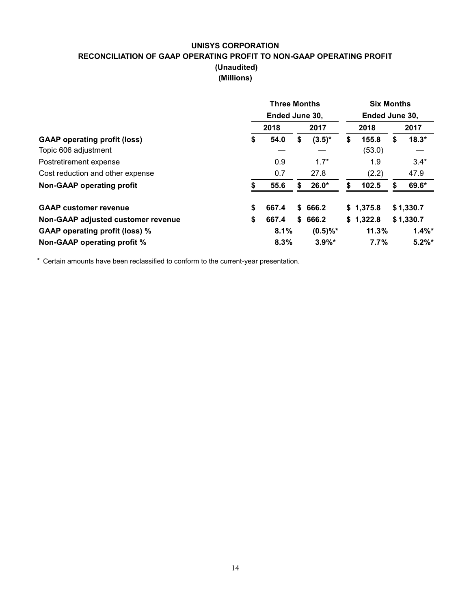# **UNISYS CORPORATION RECONCILIATION OF GAAP OPERATING PROFIT TO NON-GAAP OPERATING PROFIT (Unaudited) (Millions)**

|                                       |    | <b>Three Months</b><br>Ended June 30, |    |             |    |           | <b>Six Months</b> |           |  |  |  |
|---------------------------------------|----|---------------------------------------|----|-------------|----|-----------|-------------------|-----------|--|--|--|
|                                       |    |                                       |    |             |    |           | Ended June 30,    |           |  |  |  |
|                                       |    | 2018                                  |    | 2017        |    | 2018      |                   | 2017      |  |  |  |
| <b>GAAP</b> operating profit (loss)   | \$ | 54.0                                  | S  | $(3.5)^*$   | \$ | 155.8     | S                 | $18.3*$   |  |  |  |
| Topic 606 adjustment                  |    |                                       |    |             |    | (53.0)    |                   |           |  |  |  |
| Postretirement expense                |    | 0.9                                   |    | $1.7*$      |    | 1.9       |                   | $3.4*$    |  |  |  |
| Cost reduction and other expense      |    | 0.7                                   |    | 27.8        |    | (2.2)     |                   | 47.9      |  |  |  |
| <b>Non-GAAP operating profit</b>      | S  | 55.6                                  | S  | $26.0*$     | S  | 102.5     | S                 | 69.6*     |  |  |  |
| <b>GAAP customer revenue</b>          | \$ | 667.4                                 | \$ | 666.2       |    | \$1,375.8 |                   | \$1,330.7 |  |  |  |
| Non-GAAP adjusted customer revenue    | \$ | 667.4                                 |    | \$666.2     |    | \$1,322.8 |                   | \$1,330.7 |  |  |  |
| <b>GAAP operating profit (loss) %</b> |    | 8.1%                                  |    | $(0.5)\%$ * |    | 11.3%     |                   | $1.4\%$ * |  |  |  |
| Non-GAAP operating profit %           |    | 8.3%                                  |    | $3.9\%$ *   |    | 7.7%      |                   | $5.2\%$ * |  |  |  |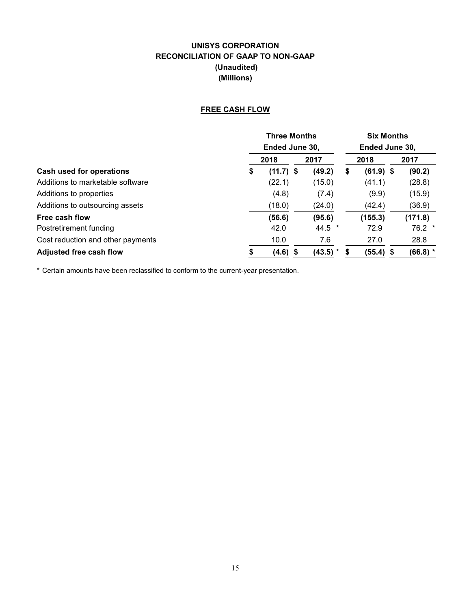# **UNISYS CORPORATION RECONCILIATION OF GAAP TO NON-GAAP (Unaudited) (Millions)**

## **FREE CASH FLOW**

|                                   | <b>Three Months</b> |  |          |    |             | <b>Six Months</b> |                |
|-----------------------------------|---------------------|--|----------|----|-------------|-------------------|----------------|
|                                   | Ended June 30,      |  |          |    |             |                   | Ended June 30, |
|                                   | 2018                |  | 2017     |    | 2018        |                   | 2017           |
| Cash used for operations          | \$<br>$(11.7)$ \$   |  | (49.2)   | \$ | $(61.9)$ \$ |                   | (90.2)         |
| Additions to marketable software  | (22.1)              |  | (15.0)   |    | (41.1)      |                   | (28.8)         |
| Additions to properties           | (4.8)               |  | (7.4)    |    | (9.9)       |                   | (15.9)         |
| Additions to outsourcing assets   | (18.0)              |  | (24.0)   |    | (42.4)      |                   | (36.9)         |
| Free cash flow                    | (56.6)              |  | (95.6)   |    | (155.3)     |                   | (171.8)        |
| Postretirement funding            | 42.0                |  | $44.5$ * |    | 72.9        |                   | $76.2$ *       |
| Cost reduction and other payments | 10.0                |  | 7.6      |    | 27.0        |                   | 28.8           |
| <b>Adjusted free cash flow</b>    | $(4.6)$ \$          |  | (43.5)   | S  | $(55.4)$ \$ |                   | $(66.8)$ *     |